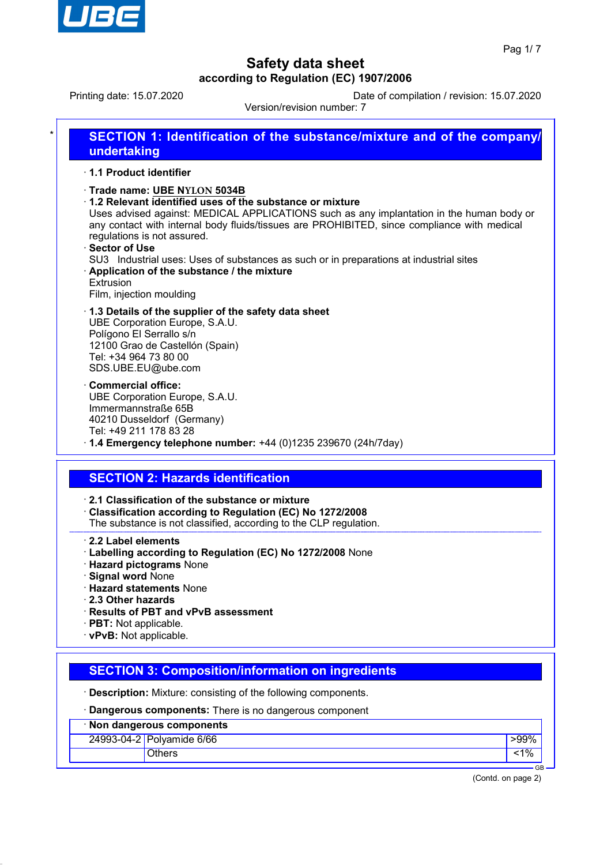

Printing date: 15.07.2020 Date of compilation / revision: 15.07.2020

Version/revision number: 7

| * | <b>SECTION 1: Identification of the substance/mixture and of the company/</b><br>undertaking                                                                                                                                                                                                                                |
|---|-----------------------------------------------------------------------------------------------------------------------------------------------------------------------------------------------------------------------------------------------------------------------------------------------------------------------------|
|   | ⋅ 1.1 Product identifier                                                                                                                                                                                                                                                                                                    |
|   | · Trade name: UBE NYLON 5034B<br>$\cdot$ 1.2 Relevant identified uses of the substance or mixture<br>Uses advised against: MEDICAL APPLICATIONS such as any implantation in the human body or<br>any contact with internal body fluids/tissues are PROHIBITED, since compliance with medical<br>regulations is not assured. |
|   | ⋅ Sector of Use<br>SU3 Industrial uses: Uses of substances as such or in preparations at industrial sites                                                                                                                                                                                                                   |
|   | Application of the substance / the mixture<br>Extrusion                                                                                                                                                                                                                                                                     |

Film, injection moulding

#### · **1.3 Details of the supplier of the safety data sheet** UBE Corporation Europe, S.A.U. Polígono El Serrallo s/n 12100 Grao de Castellón (Spain) Tel: +34 964 73 80 00 SDS.UBE.EU@ube.com

· **Commercial office:** UBE Corporation Europe, S.A.U. Immermannstraße 65B 40210 Dusseldorf (Germany) Tel: +49 211 178 83 28

· **1.4 Emergency telephone number:** +44 (0)1235 239670 (24h/7day)

## **SECTION 2: Hazards identification**

· **2.1 Classification of the substance or mixture**

- · **Classification according to Regulation (EC) No 1272/2008**
- The substance is not classified, according to the CLP regulation.

#### · **2.2 Label elements**

- · **Labelling according to Regulation (EC) No 1272/2008** None
- · **Hazard pictograms** None
- · **Signal word** None
- · **Hazard statements** None
- · **2.3 Other hazards**
- · **Results of PBT and vPvB assessment**
- · **PBT:** Not applicable.
- · **vPvB:** Not applicable.

## **SECTION 3: Composition/information on ingredients**

· **Description:** Mixture: consisting of the following components.

· **Dangerous components:** There is no dangerous component

| Non dangerous components |                           |        |  |  |
|--------------------------|---------------------------|--------|--|--|
|                          | 24993-04-2 Polyamide 6/66 | >99% । |  |  |
|                          | <b>Others</b>             |        |  |  |

(Contd. on page 2)

GB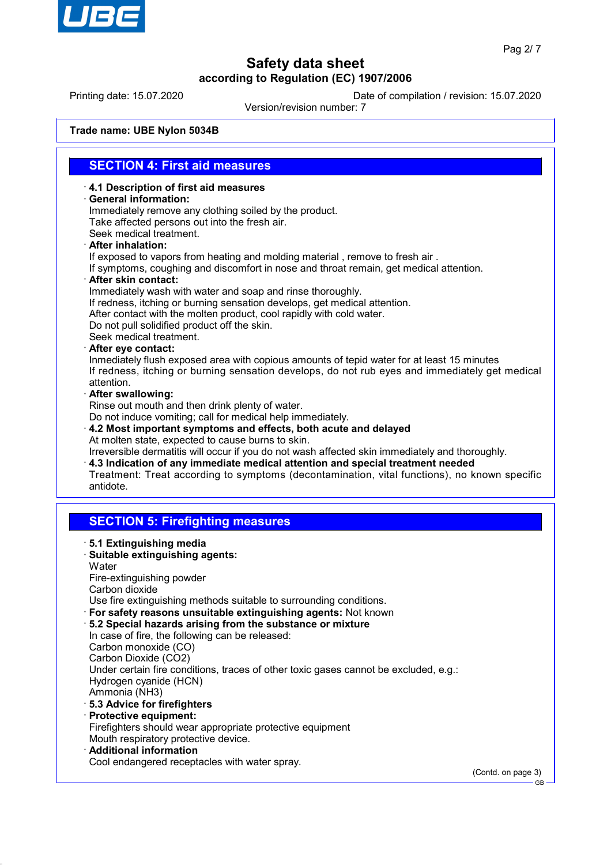

Printing date: 15.07.2020 Date of compilation / revision: 15.07.2020

Version/revision number: 7

**Trade name: UBE Nylon 5034B**

## **SECTION 4: First aid measures**

· **4.1 Description of first aid measures**

#### · **General information:**

Immediately remove any clothing soiled by the product. Take affected persons out into the fresh air. Seek medical treatment. · **After inhalation:**

If exposed to vapors from heating and molding material , remove to fresh air .

If symptoms, coughing and discomfort in nose and throat remain, get medical attention.

· **After skin contact:**

Immediately wash with water and soap and rinse thoroughly. If redness, itching or burning sensation develops, get medical attention. After contact with the molten product, cool rapidly with cold water.

Do not pull solidified product off the skin.

Seek medical treatment.

· **After eye contact:**

Inmediately flush exposed area with copious amounts of tepid water for at least 15 minutes If redness, itching or burning sensation develops, do not rub eyes and immediately get medical attention.

· **After swallowing:**

Rinse out mouth and then drink plenty of water.

Do not induce vomiting; call for medical help immediately.

- · **4.2 Most important symptoms and effects, both acute and delayed** At molten state, expected to cause burns to skin. Irreversible dermatitis will occur if you do not wash affected skin immediately and thoroughly.
- · **4.3 Indication of any immediate medical attention and special treatment needed** Treatment: Treat according to symptoms (decontamination, vital functions), no known specific antidote.

## **SECTION 5: Firefighting measures**

· **5.1 Extinguishing media** · **Suitable extinguishing agents: Water** Fire-extinguishing powder Carbon dioxide Use fire extinguishing methods suitable to surrounding conditions. · **For safety reasons unsuitable extinguishing agents:** Not known · **5.2 Special hazards arising from the substance or mixture** In case of fire, the following can be released: Carbon monoxide (CO) Carbon Dioxide (CO2) Under certain fire conditions, traces of other toxic gases cannot be excluded, e.g.: Hydrogen cyanide (HCN) Ammonia (NH3) · **5.3 Advice for firefighters** · **Protective equipment:** Firefighters should wear appropriate protective equipment Mouth respiratory protective device. · **Additional information** Cool endangered receptacles with water spray. (Contd. on page 3)

GB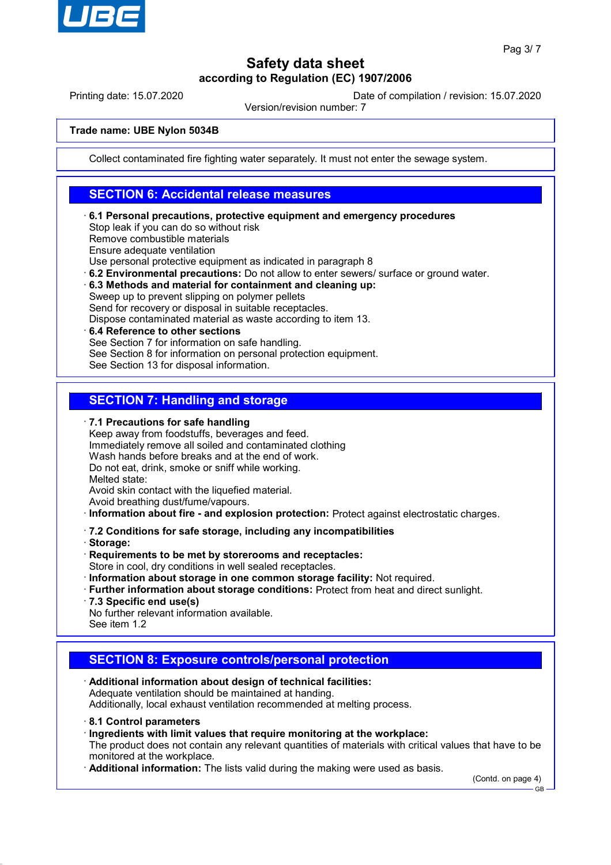

Printing date: 15.07.2020 Date of compilation / revision: 15.07.2020

Version/revision number: 7

#### **Trade name: UBE Nylon 5034B**

Collect contaminated fire fighting water separately. It must not enter the sewage system.

## **SECTION 6: Accidental release measures**

- · **6.1 Personal precautions, protective equipment and emergency procedures** Stop leak if you can do so without risk Remove combustible materials Ensure adequate ventilation Use personal protective equipment as indicated in paragraph 8 · **6.2 Environmental precautions:** Do not allow to enter sewers/ surface or ground water. · **6.3 Methods and material for containment and cleaning up:**
- Sweep up to prevent slipping on polymer pellets Send for recovery or disposal in suitable receptacles. Dispose contaminated material as waste according to item 13.
- · **6.4 Reference to other sections** See Section 7 for information on safe handling. See Section 8 for information on personal protection equipment. See Section 13 for disposal information.

# **SECTION 7: Handling and storage**

· **7.1 Precautions for safe handling**

Keep away from foodstuffs, beverages and feed. Immediately remove all soiled and contaminated clothing Wash hands before breaks and at the end of work. Do not eat, drink, smoke or sniff while working. Melted state: Avoid skin contact with the liquefied material.

Avoid breathing dust/fume/vapours.

· **Information about fire - and explosion protection:** Protect against electrostatic charges.

- · **7.2 Conditions for safe storage, including any incompatibilities**
- · **Storage:**

· **Requirements to be met by storerooms and receptacles:**

Store in cool, dry conditions in well sealed receptacles.

- · **Information about storage in one common storage facility:** Not required.
- · **Further information about storage conditions:** Protect from heat and direct sunlight.
- · **7.3 Specific end use(s)**

No further relevant information available. See item 1.2

# **SECTION 8: Exposure controls/personal protection**

· **Additional information about design of technical facilities:** Adequate ventilation should be maintained at handing. Additionally, local exhaust ventilation recommended at melting process.

· **8.1 Control parameters**

· **Ingredients with limit values that require monitoring at the workplace:**

The product does not contain any relevant quantities of materials with critical values that have to be monitored at the workplace.

· **Additional information:** The lists valid during the making were used as basis.

(Contd. on page 4) GB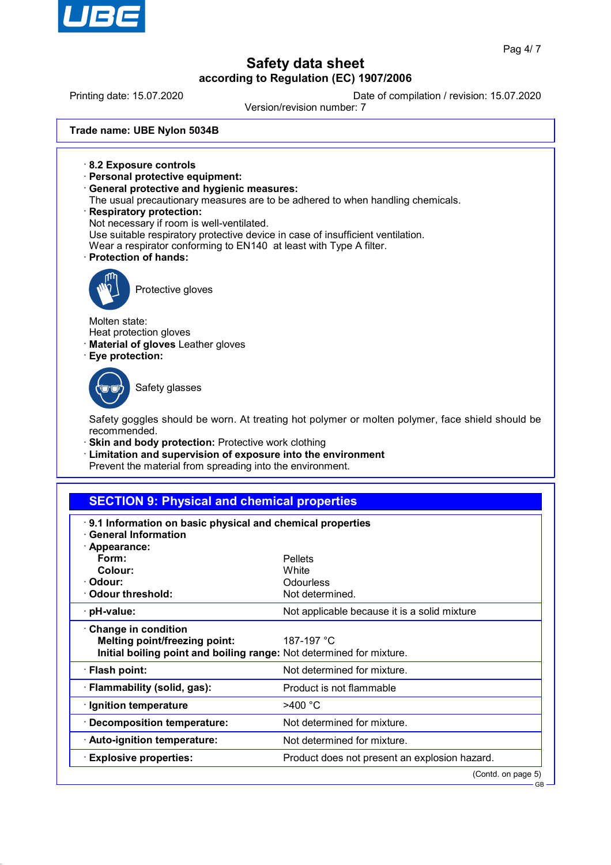

GB

# **Safety data sheet according to Regulation (EC) 1907/2006**

Printing date: 15.07.2020 Date of compilation / revision: 15.07.2020

Version/revision number: 7

**Trade name: UBE Nylon 5034B**

- · **8.2 Exposure controls**
- · **Personal protective equipment:**
- · **General protective and hygienic measures:**
- The usual precautionary measures are to be adhered to when handling chemicals.
- · **Respiratory protection:**
- Not necessary if room is well-ventilated.
- Use suitable respiratory protective device in case of insufficient ventilation.
- Wear a respirator conforming to EN140 at least with Type A filter.
- · **Protection of hands:**



Protective gloves

Molten state: Heat protection gloves

· **Material of gloves** Leather gloves

· **Eye protection:**

Safety glasses

Safety goggles should be worn. At treating hot polymer or molten polymer, face shield should be recommended.

- · **Skin and body protection:** Protective work clothing
- · **Limitation and supervision of exposure into the environment**
- Prevent the material from spreading into the environment.

# **SECTION 9: Physical and chemical properties**

| <b>General Information</b>                                                                                                                 | 9.1 Information on basic physical and chemical properties |  |  |
|--------------------------------------------------------------------------------------------------------------------------------------------|-----------------------------------------------------------|--|--|
| · Appearance:                                                                                                                              |                                                           |  |  |
| Form:                                                                                                                                      | <b>Pellets</b>                                            |  |  |
| Colour:                                                                                                                                    | White                                                     |  |  |
| · Odour:                                                                                                                                   | <b>Odourless</b>                                          |  |  |
| Odour threshold:                                                                                                                           | Not determined.                                           |  |  |
| · pH-value:                                                                                                                                | Not applicable because it is a solid mixture              |  |  |
| <b>Change in condition</b><br><b>Melting point/freezing point:</b><br>Initial boiling point and boiling range: Not determined for mixture. | 187-197 °C                                                |  |  |
| $\cdot$ Flash point:                                                                                                                       | Not determined for mixture.                               |  |  |
| $\cdot$ Flammability (solid, gas):                                                                                                         | Product is not flammable                                  |  |  |
| · Ignition temperature                                                                                                                     | $>400$ °C                                                 |  |  |
| · Decomposition temperature:                                                                                                               | Not determined for mixture.                               |  |  |
| · Auto-ignition temperature:                                                                                                               | Not determined for mixture.                               |  |  |
| $\cdot$ Explosive properties:                                                                                                              | Product does not present an explosion hazard.             |  |  |
|                                                                                                                                            | (Contd. on page 5)                                        |  |  |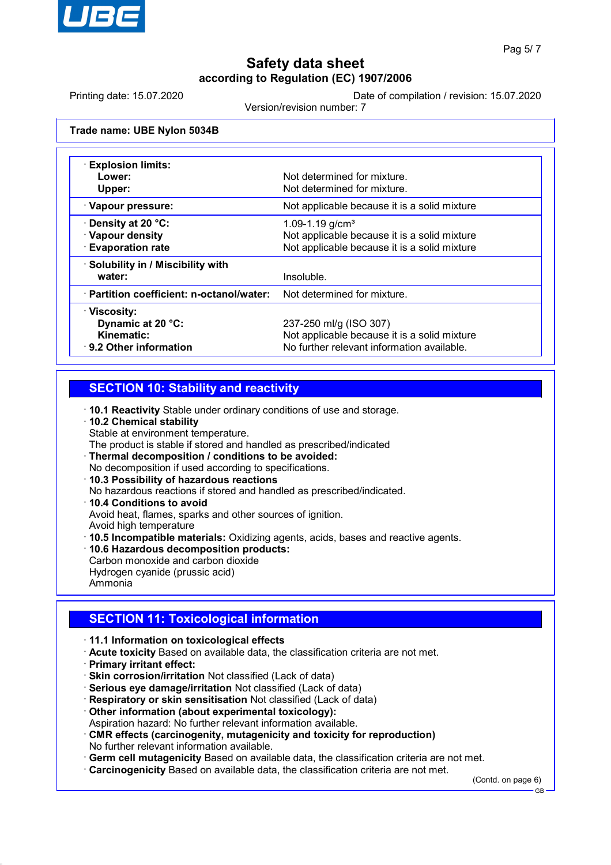

Printing date: 15.07.2020 Date of compilation / revision: 15.07.2020

Version/revision number: 7

**Trade name: UBE Nylon 5034B**

| <b>Explosion limits:</b><br>Lower:<br>Upper:                               | Not determined for mixture.<br>Not determined for mixture.                                                           |
|----------------------------------------------------------------------------|----------------------------------------------------------------------------------------------------------------------|
| · Vapour pressure:                                                         | Not applicable because it is a solid mixture                                                                         |
| $\cdot$ Density at 20 °C:<br>· Vapour density<br><b>Evaporation rate</b>   | 1.09-1.19 $g/cm3$<br>Not applicable because it is a solid mixture<br>Not applicable because it is a solid mixture    |
| · Solubility in / Miscibility with<br>water:                               | Insoluble.                                                                                                           |
| · Partition coefficient: n-octanol/water:                                  | Not determined for mixture.                                                                                          |
| · Viscosity:<br>Dynamic at 20 °C:<br>Kinematic:<br>⋅ 9.2 Other information | 237-250 ml/g (ISO 307)<br>Not applicable because it is a solid mixture<br>No further relevant information available. |

## **SECTION 10: Stability and reactivity**

· **10.1 Reactivity** Stable under ordinary conditions of use and storage.

- · **10.2 Chemical stability**
- Stable at environment temperature.
- The product is stable if stored and handled as prescribed/indicated
- · **Thermal decomposition / conditions to be avoided:**
- No decomposition if used according to specifications.
- · **10.3 Possibility of hazardous reactions**
- No hazardous reactions if stored and handled as prescribed/indicated.
- · **10.4 Conditions to avoid**
- Avoid heat, flames, sparks and other sources of ignition.
- Avoid high temperature
- · **10.5 Incompatible materials:** Oxidizing agents, acids, bases and reactive agents.
- · **10.6 Hazardous decomposition products:**
- Carbon monoxide and carbon dioxide Hydrogen cyanide (prussic acid) Ammonia

# **SECTION 11: Toxicological information**

- · **11.1 Information on toxicological effects**
- · **Acute toxicity** Based on available data, the classification criteria are not met.
- · **Primary irritant effect:**
- · **Skin corrosion/irritation** Not classified (Lack of data)
- · **Serious eye damage/irritation** Not classified (Lack of data)
- · **Respiratory or skin sensitisation** Not classified (Lack of data)
- · **Other information (about experimental toxicology):**
- Aspiration hazard: No further relevant information available.
- · **CMR effects (carcinogenity, mutagenicity and toxicity for reproduction)** No further relevant information available.
- · **Germ cell mutagenicity** Based on available data, the classification criteria are not met. · **Carcinogenicity** Based on available data, the classification criteria are not met.

(Contd. on page 6)

GB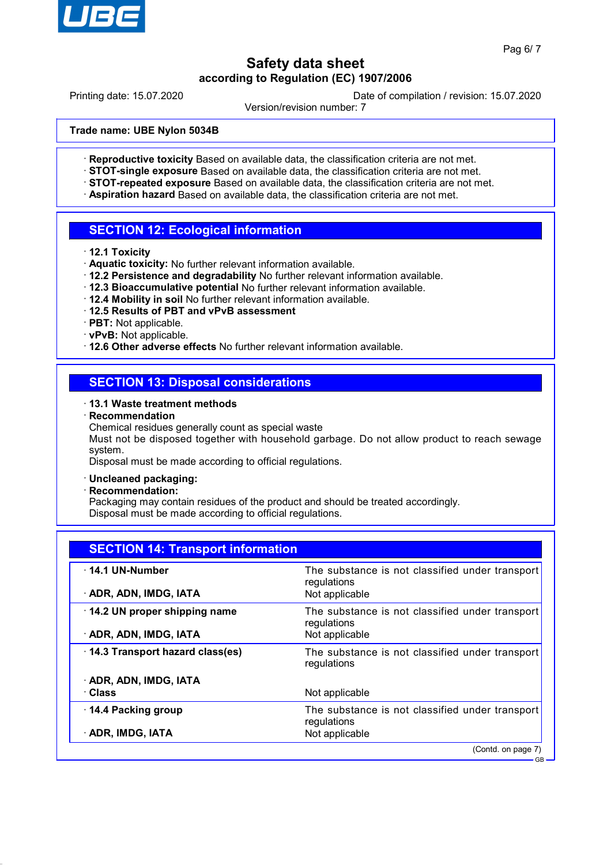

Printing date: 15.07.2020 Date of compilation / revision: 15.07.2020

Version/revision number: 7

**Trade name: UBE Nylon 5034B**

- · **Reproductive toxicity** Based on available data, the classification criteria are not met.
- · **STOT-single exposure** Based on available data, the classification criteria are not met.
- · **STOT-repeated exposure** Based on available data, the classification criteria are not met.
- · **Aspiration hazard** Based on available data, the classification criteria are not met.

## **SECTION 12: Ecological information**

- · **12.1 Toxicity**
- · **Aquatic toxicity:** No further relevant information available.
- · **12.2 Persistence and degradability** No further relevant information available.
- · **12.3 Bioaccumulative potential** No further relevant information available.
- · **12.4 Mobility in soil** No further relevant information available.
- · **12.5 Results of PBT and vPvB assessment**
- · **PBT:** Not applicable.
- · **vPvB:** Not applicable.
- · **12.6 Other adverse effects** No further relevant information available.

## **SECTION 13: Disposal considerations**

#### · **13.1 Waste treatment methods**

- · **Recommendation**
- Chemical residues generally count as special waste

Must not be disposed together with household garbage. Do not allow product to reach sewage system.

Disposal must be made according to official regulations.

#### · **Uncleaned packaging:**

· **Recommendation:**

Packaging may contain residues of the product and should be treated accordingly. Disposal must be made according to official regulations.

| <b>SECTION 14: Transport information</b> |                                                                |  |
|------------------------------------------|----------------------------------------------------------------|--|
| $\cdot$ 14.1 UN-Number                   | The substance is not classified under transport<br>regulations |  |
| · ADR, ADN, IMDG, IATA                   | Not applicable                                                 |  |
| 14.2 UN proper shipping name             | The substance is not classified under transport<br>regulations |  |
| · ADR, ADN, IMDG, IATA                   | Not applicable                                                 |  |
| 14.3 Transport hazard class(es)          | The substance is not classified under transport<br>regulations |  |
| · ADR, ADN, IMDG, IATA                   |                                                                |  |
| · Class                                  | Not applicable                                                 |  |
| 14.4 Packing group                       | The substance is not classified under transport<br>regulations |  |
| · ADR, IMDG, IATA                        | Not applicable                                                 |  |
|                                          | (Contd. on page 7)                                             |  |